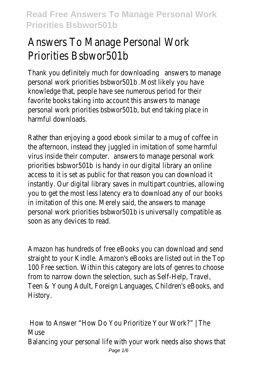# Answers To Manage Personal Work Priorities Bsbwor501b

Thank you definitely much for downloading answers to manage personal work priorities bsbwor501b .Most likely you have knowledge that, people have see numerous period for their favorite books taking into account this answers to manage personal work priorities bsbwor501b, but end taking place in harmful downloads.

Rather than enjoying a good ebook similar to a mug of coffee in the afternoon, instead they juggled in imitation of some harmful virus inside their computer. answers to manage personal work priorities bsbwor501b is handy in our digital library an online access to it is set as public for that reason you can download it instantly. Our digital library saves in multipart countries, allowing you to get the most less latency era to download any of our books in imitation of this one. Merely said, the answers to manage personal work priorities bsbwor501b is universally compatible as soon as any devices to read.

Amazon has hundreds of free eBooks you can download and send straight to your Kindle. Amazon's eBooks are listed out in the Top 100 Free section. Within this category are lots of genres to choose from to narrow down the selection, such as Self-Help, Travel, Teen & Young Adult, Foreign Languages, Children's eBooks, and History.

How to Answer "How Do You Prioritize Your Work?" | The **Muse** Balancing your personal life with your work needs also shows that Page  $1/6$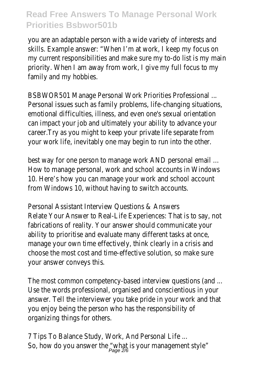you are an adaptable person with a wide variety of interests and skills. Example answer: "When I'm at work, I keep my focus on my current responsibilities and make sure my to-do list is my main priority. When I am away from work, I give my full focus to my family and my hobbies.

BSBWOR501 Manage Personal Work Priorities Professional ... Personal issues such as family problems, life-changing situations, emotional difficulties, illness, and even one's sexual orientation can impact your job and ultimately your ability to advance your career.Try as you might to keep your private life separate from your work life, inevitably one may begin to run into the other.

best way for one person to manage work AND personal email ... How to manage personal, work and school accounts in Windows 10. Here's how you can manage your work and school account from Windows 10, without having to switch accounts.

Personal Assistant Interview Questions & Answers Relate Your Answer to Real-Life Experiences: That is to say, not fabrications of reality. Your answer should communicate your ability to prioritise and evaluate many different tasks at once, manage your own time effectively, think clearly in a crisis and choose the most cost and time-effective solution, so make sure your answer conveys this.

The most common competency-based interview questions (and ... Use the words professional, organised and conscientious in your answer. Tell the interviewer you take pride in your work and that you enjoy being the person who has the responsibility of organizing things for others.

7 Tips To Balance Study, Work, And Personal Life ... So, how do you answer the "what is your management style" Page 2/6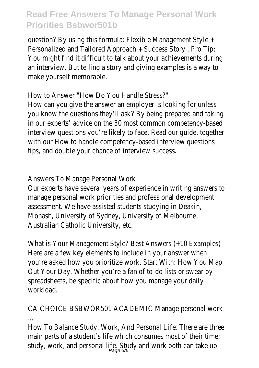question? By using this formula: Flexible Management Style + Personalized and Tailored Approach + Success Story . Pro Tip: You might find it difficult to talk about your achievements during an interview. But telling a story and giving examples is a way to make yourself memorable.

How to Answer "How Do You Handle Stress?" How can you give the answer an employer is looking for unless you know the questions they'll ask? By being prepared and taking in our experts' advice on the 30 most common competency-based interview questions you're likely to face. Read our guide, together with our How to handle competency-based interview questions tips, and double your chance of interview success.

Answers To Manage Personal Work

Our experts have several years of experience in writing answers to manage personal work priorities and professional development assessment. We have assisted students studying in Deakin, Monash, University of Sydney, University of Melbourne, Australian Catholic University, etc.

What is Your Management Style? Best Answers (+10 Examples) Here are a few key elements to include in your answer when you're asked how you prioritize work. Start With: How You Map Out Your Day. Whether you're a fan of to-do lists or swear by spreadsheets, be specific about how you manage your daily workload.

CA CHOICE BSBWOR501 ACADEMIC Manage personal work

... How To Balance Study, Work, And Personal Life. There are three main parts of a student's life which consumes most of their time; study, work, and personal life. Study and work both can take up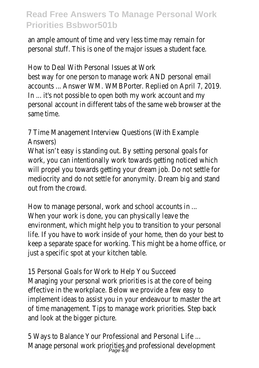an ample amount of time and very less time may remain for personal stuff. This is one of the major issues a student face.

How to Deal With Personal Issues at Work best way for one person to manage work AND personal email accounts ... Answer WM. WMBPorter. Replied on April 7, 2019. In ... it's not possible to open both my work account and my personal account in different tabs of the same web browser at the same time.

7 Time Management Interview Questions (With Example Answers)

What isn't easy is standing out. By setting personal goals for work, you can intentionally work towards getting noticed which will propel you towards getting your dream job. Do not settle for mediocrity and do not settle for anonymity. Dream big and stand out from the crowd.

How to manage personal, work and school accounts in ... When your work is done, you can physically leave the environment, which might help you to transition to your personal life. If you have to work inside of your home, then do your best to keep a separate space for working. This might be a home office, or just a specific spot at your kitchen table.

15 Personal Goals for Work to Help You Succeed Managing your personal work priorities is at the core of being effective in the workplace. Below we provide a few easy to implement ideas to assist you in your endeavour to master the art of time management. Tips to manage work priorities. Step back and look at the bigger picture.

5 Ways to Balance Your Professional and Personal Life ... Manage personal work priorities and professional development<br>Page 4/6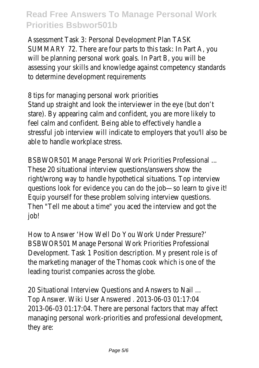Assessment Task 3: Personal Development Plan TASK SUMMARY 72. There are four parts to this task: In Part A, you will be planning personal work goals. In Part B, you will be assessing your skills and knowledge against competency standards to determine development requirements

8 tips for managing personal work priorities Stand up straight and look the interviewer in the eye (but don't stare). By appearing calm and confident, you are more likely to feel calm and confident. Being able to effectively handle a stressful job interview will indicate to employers that you'll also be able to handle workplace stress.

BSBWOR501 Manage Personal Work Priorities Professional ... These 20 situational interview questions/answers show the right/wrong way to handle hypothetical situations. Top interview questions look for evidence you can do the job-so learn to give it! Equip yourself for these problem solving interview questions. Then "Tell me about a time" you aced the interview and got the job!

How to Answer 'How Well Do You Work Under Pressure?' BSBWOR501 Manage Personal Work Priorities Professional Development. Task 1 Position description. My present role is of the marketing manager of the Thomas cook which is one of the leading tourist companies across the globe.

20 Situational Interview Questions and Answers to Nail ... Top Answer. Wiki User Answered . 2013-06-03 01:17:04 2013-06-03 01:17:04. There are personal factors that may affect managing personal work-priorities and professional development, they are: